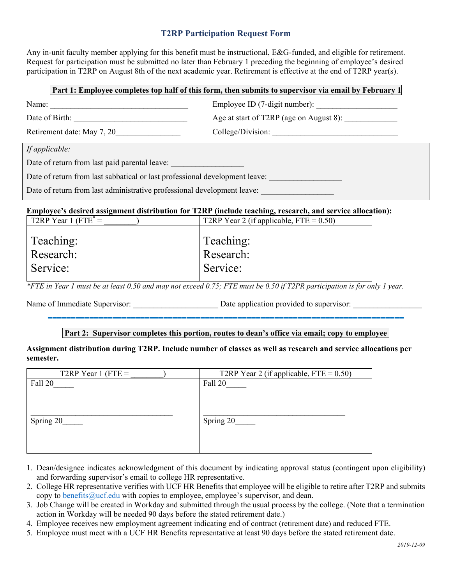## **T2RP Participation Request Form**

Any in-unit faculty member applying for this benefit must be instructional, E&G-funded, and eligible for retirement. Request for participation must be submitted no later than February 1 preceding the beginning of employee's desired participation in T2RP on August 8th of the next academic year. Retirement is effective at the end of T2RP year(s).

| Part 1: Employee completes top half of this form, then submits to supervisor via email by February 1 |                                         |  |
|------------------------------------------------------------------------------------------------------|-----------------------------------------|--|
| Name:                                                                                                |                                         |  |
| Date of Birth:                                                                                       | Age at start of T2RP (age on August 8): |  |
| Retirement date: May 7, 20                                                                           | College/Division:                       |  |
| If applicable:                                                                                       |                                         |  |
| Date of return from last paid parental leave:                                                        |                                         |  |
| Date of return from last sabbatical or last professional development leave:                          |                                         |  |
| Date of return from last administrative professional development leave:                              |                                         |  |

### **Employee's desired assignment distribution for T2RP (include teaching, research, and service allocation):**

| T2RP Year 1 (FTE <sup><math>* =</math></sup> | T2RP Year 2 (if applicable, $FTE = 0.50$ ) |
|----------------------------------------------|--------------------------------------------|
|                                              |                                            |
| Teaching:                                    | Teaching:                                  |
| Research:                                    | Research:                                  |
|                                              |                                            |
| Service:                                     | Service:                                   |
|                                              |                                            |

*\*FTE in Year 1 must be at least 0.50 and may not exceed 0.75; FTE must be 0.50 if T2PR participation is for only 1 year.*

Name of Immediate Supervisor: <br>
Date application provided to supervisor:

# **============================================================================= Part 2: Supervisor completes this portion, routes to dean's office via email; copy to employee**

### **Assignment distribution during T2RP. Include number of classes as well as research and service allocations per semester.**

| T2RP Year 1 (FTE $=$ | T2RP Year 2 (if applicable, $FTE = 0.50$ ) |
|----------------------|--------------------------------------------|
| Fall 20              | Fall 20                                    |
|                      |                                            |
|                      |                                            |
|                      |                                            |
| Spring 20            | Spring 20                                  |
|                      |                                            |
|                      |                                            |
|                      |                                            |

- 1. Dean/designee indicates acknowledgment of this document by indicating approval status (contingent upon eligibility) and forwarding supervisor's email to college HR representative.
- 2. College HR representative verifies with UCF HR Benefits that employee will be eligible to retire after T2RP and submits copy to benefits@ucf.edu with copies to employee, employee's supervisor, and dean.
- 3. Job Change will be created in Workday and submitted through the usual process by the college. (Note that a termination action in Workday will be needed 90 days before the stated retirement date.)
- 4. Employee receives new employment agreement indicating end of contract (retirement date) and reduced FTE.
- 5. Employee must meet with a UCF HR Benefits representative at least 90 days before the stated retirement date.